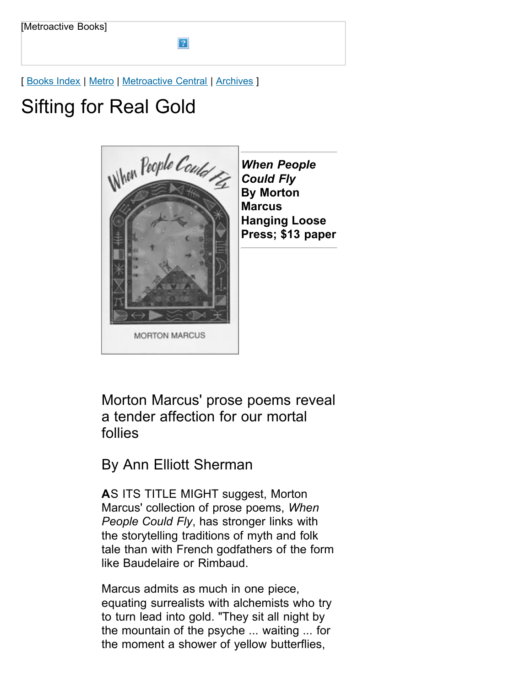[ [Books Index](http://metroactive.com/books/) | [Metro](http://www.metroactive.com/papers/metro/02.26.98/index.html) | [Metroactive Central](http://metroactive.com/) | [Archives](http://metroactive.com/papers/metro/archives.html) ]

 $|2|$ 

## Sifting for Real Gold



*When People Could Fly* **By Morton Marcus Hanging Loose Press; \$13 paper**

Morton Marcus' prose poems reveal a tender affection for our mortal follies

By Ann Elliott Sherman

**A**S ITS TITLE MIGHT suggest, Morton Marcus' collection of prose poems, *When People Could Fly*, has stronger links with the storytelling traditions of myth and folk tale than with French godfathers of the form like Baudelaire or Rimbaud.

Marcus admits as much in one piece, equating surrealists with alchemists who try to turn lead into gold. "They sit all night by the mountain of the psyche ... waiting ... for the moment a shower of yellow butterflies,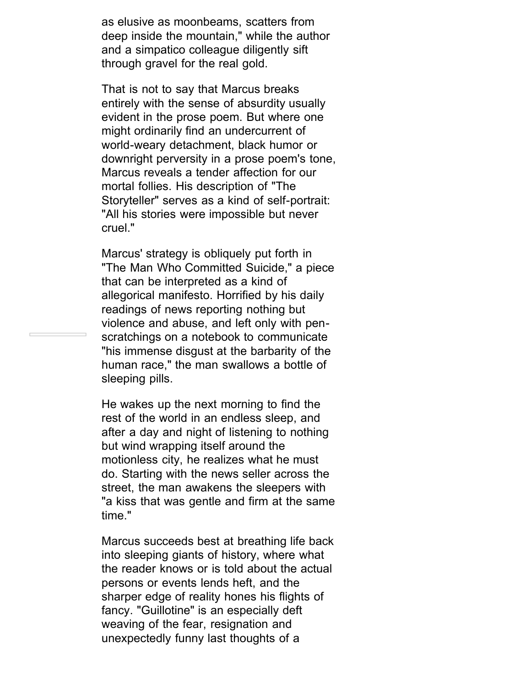as elusive as moonbeams, scatters from deep inside the mountain," while the author and a simpatico colleague diligently sift through gravel for the real gold.

That is not to say that Marcus breaks entirely with the sense of absurdity usually evident in the prose poem. But where one might ordinarily find an undercurrent of world-weary detachment, black humor or downright perversity in a prose poem's tone, Marcus reveals a tender affection for our mortal follies. His description of "The Storyteller" serves as a kind of self-portrait: "All his stories were impossible but never cruel."

Marcus' strategy is obliquely put forth in "The Man Who Committed Suicide," a piece that can be interpreted as a kind of allegorical manifesto. Horrified by his daily readings of news reporting nothing but violence and abuse, and left only with penscratchings on a notebook to communicate "his immense disgust at the barbarity of the human race," the man swallows a bottle of sleeping pills.

He wakes up the next morning to find the rest of the world in an endless sleep, and after a day and night of listening to nothing but wind wrapping itself around the motionless city, he realizes what he must do. Starting with the news seller across the street, the man awakens the sleepers with "a kiss that was gentle and firm at the same time."

Marcus succeeds best at breathing life back into sleeping giants of history, where what the reader knows or is told about the actual persons or events lends heft, and the sharper edge of reality hones his flights of fancy. "Guillotine" is an especially deft weaving of the fear, resignation and unexpectedly funny last thoughts of a